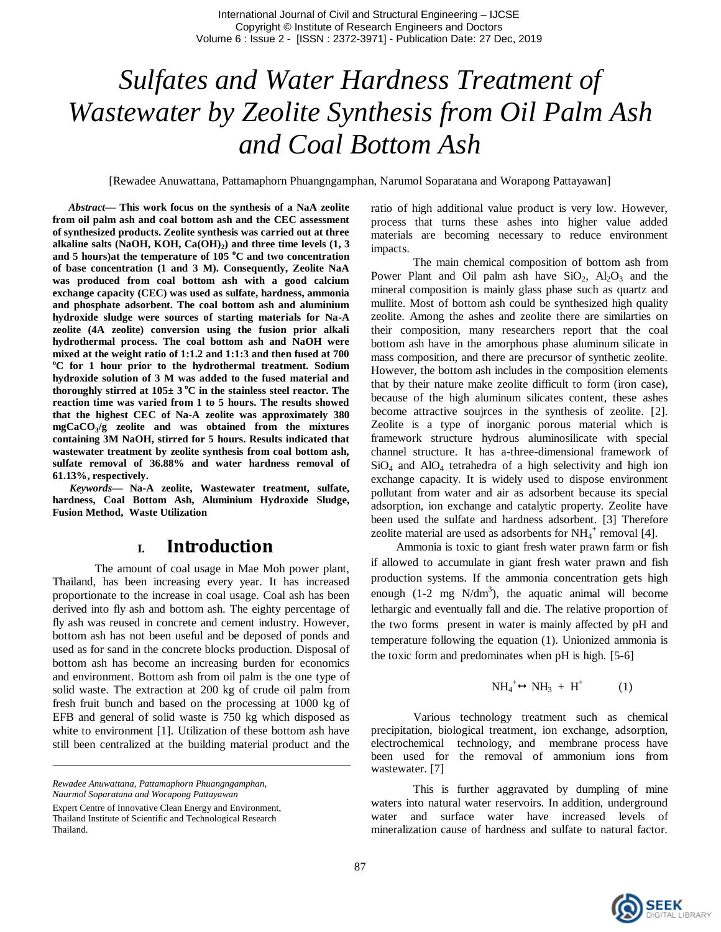# *Sulfates and Water Hardness Treatment of Wastewater by Zeolite Synthesis from Oil Palm Ash and Coal Bottom Ash*

[Rewadee Anuwattana, Pattamaphorn Phuangngamphan, Narumol Soparatana and Worapong Pattayawan]

*Abstract***— This work focus on the synthesis of a NaA zeolite from oil palm ash and coal bottom ash and the CEC assessment of synthesized products. Zeolite synthesis was carried out at three alkaline salts (NaOH, KOH, Ca(OH)<sup>2</sup> ) and three time levels (1, 3 and 5 hours)at the temperature of 105 <sup>o</sup>C and two concentration of base concentration (1 and 3 M). Consequently, Zeolite NaA was produced from coal bottom ash with a good calcium exchange capacity (CEC) was used as sulfate, hardness, ammonia and phosphate adsorbent. The coal bottom ash and aluminium hydroxide sludge were sources of starting materials for Na-A zeolite (4A zeolite) conversion using the fusion prior alkali hydrothermal process. The coal bottom ash and NaOH were mixed at the weight ratio of 1:1.2 and 1:1:3 and then fused at 700 <sup>o</sup>C for 1 hour prior to the hydrothermal treatment. Sodium hydroxide solution of 3 M was added to the fused material and**  thoroughly stirred at  $105 \pm 3$  °C in the stainless steel reactor. The **reaction time was varied from 1 to 5 hours. The results showed that the highest CEC of Na-A zeolite was approximately 380 mgCaCO<sup>3</sup> /g zeolite and was obtained from the mixtures containing 3M NaOH, stirred for 5 hours. Results indicated that wastewater treatment by zeolite synthesis from coal bottom ash, sulfate removal of 36.88% and water hardness removal of 61.13%, respectively.**

*Keywords—* **Na-A zeolite, Wastewater treatment, sulfate, hardness, Coal Bottom Ash, Aluminium Hydroxide Sludge, Fusion Method, Waste Utilization**

## **I. Introduction**

The amount of coal usage in Mae Moh power plant, Thailand, has been increasing every year. It has increased proportionate to the increase in coal usage. Coal ash has been derived into fly ash and bottom ash. The eighty percentage of fly ash was reused in concrete and cement industry. However, bottom ash has not been useful and be deposed of ponds and used as for sand in the concrete blocks production. Disposal of bottom ash has become an increasing burden for economics and environment. Bottom ash from oil palm is the one type of solid waste. The extraction at 200 kg of crude oil palm from fresh fruit bunch and based on the processing at 1000 kg of EFB and general of solid waste is 750 kg which disposed as white to environment [1]. Utilization of these bottom ash have still been centralized at the building material product and the

*Naurmol Soparatana and Worapong Pattayawan*

ratio of high additional value product is very low. However, process that turns these ashes into higher value added materials are becoming necessary to reduce environment impacts.

The main chemical composition of bottom ash from Power Plant and Oil palm ash have  $SiO_2$ ,  $Al_2O_3$  and the mineral composition is mainly glass phase such as quartz and mullite. Most of bottom ash could be synthesized high quality zeolite. Among the ashes and zeolite there are similarties on their composition, many researchers report that the coal bottom ash have in the amorphous phase aluminum silicate in mass composition, and there are precursor of synthetic zeolite. However, the bottom ash includes in the composition elements that by their nature make zeolite difficult to form (iron case), because of the high aluminum silicates content, these ashes become attractive soujrces in the synthesis of zeolite. [2]. Zeolite is a type of inorganic porous material which is framework structure hydrous aluminosilicate with special channel structure. It has a-three-dimensional framework of  $SiO<sub>4</sub>$  and  $AlO<sub>4</sub>$  tetrahedra of a high selectivity and high ion exchange capacity. It is widely used to dispose environment pollutant from water and air as adsorbent because its special adsorption, ion exchange and catalytic property. Zeolite have been used the sulfate and hardness adsorbent. [3] Therefore zeolite material are used as adsorbents for  $NH_4^+$  removal [4].

Ammonia is toxic to giant fresh water prawn farm or fish if allowed to accumulate in giant fresh water prawn and fish production systems. If the ammonia concentration gets high enough  $(1-2 \text{ mg } \text{N/dm}^3)$ , the aquatic animal will become lethargic and eventually fall and die. The relative proportion of the two forms present in water is mainly affected by pH and temperature following the equation (1). Unionized ammonia is the toxic form and predominates when pH is high. [5-6]

$$
NH_4^+\leftrightarrow NH_3 + H^+ \tag{1}
$$

Various technology treatment such as chemical precipitation, biological treatment, ion exchange, adsorption, electrochemical technology, and membrane process have been used for the removal of ammonium ions from wastewater. [7]

This is further aggravated by dumpling of mine waters into natural water reservoirs. In addition, underground water and surface water have increased levels of mineralization cause of hardness and sulfate to natural factor.



*Rewadee Anuwattana, Pattamaphorn Phuangngamphan,* 

Expert Centre of Innovative Clean Energy and Environment, Thailand Institute of Scientific and Technological Research

Thailand.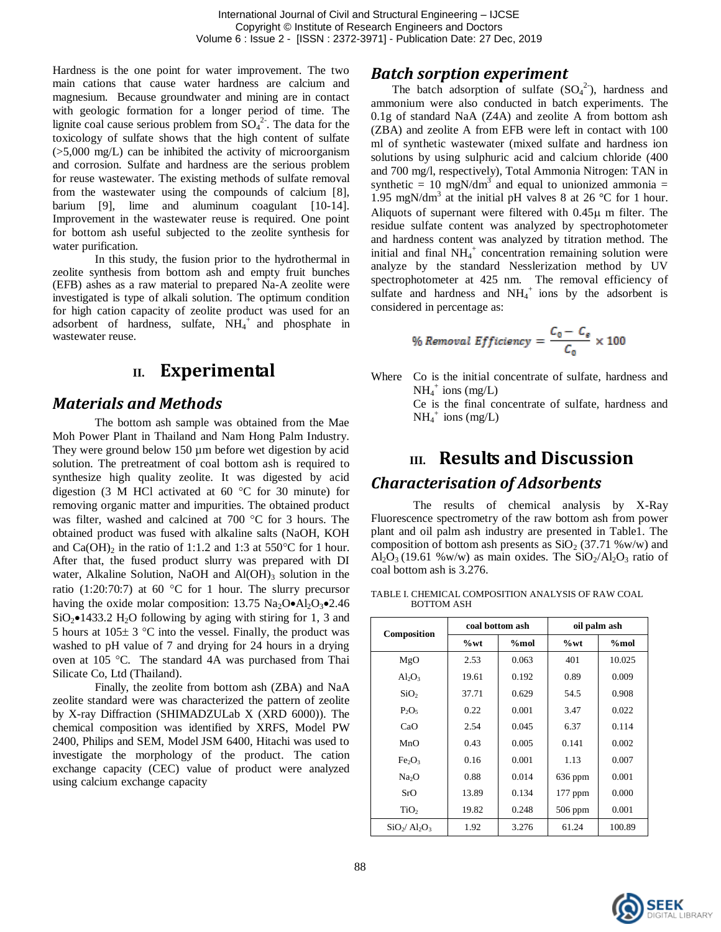Hardness is the one point for water improvement. The two main cations that cause water hardness are calcium and magnesium. Because groundwater and mining are in contact with geologic formation for a longer period of time. The lignite coal cause serious problem from  $SO_4^2$ . The data for the toxicology of sulfate shows that the high content of sulfate  $(0.5,000 \text{ mg/L})$  can be inhibited the activity of microorganism and corrosion. Sulfate and hardness are the serious problem for reuse wastewater. The existing methods of sulfate removal from the wastewater using the compounds of calcium [8], barium [9], lime and aluminum coagulant [10-14]. Improvement in the wastewater reuse is required. One point for bottom ash useful subjected to the zeolite synthesis for water purification.

In this study, the fusion prior to the hydrothermal in zeolite synthesis from bottom ash and empty fruit bunches (EFB) ashes as a raw material to prepared Na-A zeolite were investigated is type of alkali solution. The optimum condition for high cation capacity of zeolite product was used for an adsorbent of hardness, sulfate,  $NH_4^+$  and phosphate in wastewater reuse.

# **II. Experimental**

### *Materials and Methods*

The bottom ash sample was obtained from the Mae Moh Power Plant in Thailand and Nam Hong Palm Industry. They were ground below 150 um before wet digestion by acid solution. The pretreatment of coal bottom ash is required to synthesize high quality zeolite. It was digested by acid digestion (3 M HCl activated at 60  $^{\circ}$ C for 30 minute) for removing organic matter and impurities. The obtained product was filter, washed and calcined at  $700\text{ °C}$  for 3 hours. The obtained product was fused with alkaline salts (NaOH, KOH and Ca(OH)<sub>2</sub> in the ratio of 1:1.2 and 1:3 at 550°C for 1 hour. After that, the fused product slurry was prepared with DI water, Alkaline Solution, NaOH and  $Al(OH)$ <sub>3</sub> solution in the ratio (1:20:70:7) at 60 °C for 1 hour. The slurry precursor having the oxide molar composition:  $13.75$  Na<sub>2</sub>O $\bullet$ Al<sub>2</sub>O<sub>3</sub> $\bullet$ 2.46  $SiO<sub>2</sub>$  1433.2 H<sub>2</sub>O following by aging with stiring for 1, 3 and 5 hours at  $105 \pm 3$  °C into the vessel. Finally, the product was washed to pH value of 7 and drying for 24 hours in a drying oven at 105 °C. The standard 4A was purchased from Thai Silicate Co, Ltd (Thailand).

Finally, the zeolite from bottom ash (ZBA) and NaA zeolite standard were was characterized the pattern of zeolite by X-ray Diffraction (SHIMADZULab X (XRD 6000)). The chemical composition was identified by XRFS, Model PW 2400, Philips and SEM, Model JSM 6400, Hitachi was used to investigate the morphology of the product. The cation exchange capacity (CEC) value of product were analyzed using calcium exchange capacity

#### *Batch sorption experiment*

The batch adsorption of sulfate  $(SO<sub>4</sub><sup>2</sup>)$ , hardness and ammonium were also conducted in batch experiments. The 0.1g of standard NaA (Z4A) and zeolite A from bottom ash (ZBA) and zeolite A from EFB were left in contact with 100 ml of synthetic wastewater (mixed sulfate and hardness ion solutions by using sulphuric acid and calcium chloride (400 and 700 mg/l, respectively), Total Ammonia Nitrogen: TAN in synthetic = 10 mgN/dm<sup>3</sup> and equal to unionized ammonia = 1.95 mgN/dm<sup>3</sup> at the initial pH valves 8 at 26 °C for 1 hour. Aliquots of supernant were filtered with  $0.45\mu$  m filter. The residue sulfate content was analyzed by spectrophotometer and hardness content was analyzed by titration method. The initial and final NH<sub>4</sub><sup>+</sup> concentration remaining solution were analyze by the standard Nesslerization method by UV spectrophotometer at 425 nm. The removal efficiency of sulfate and hardness and  $NH<sub>4</sub><sup>+</sup>$  ions by the adsorbent is considered in percentage as:

% Removal *Efficiency* = 
$$
\frac{C_0 - C_e}{C_0} \times 100
$$

Where Co is the initial concentrate of sulfate, hardness and  $NH_4^+$  ions (mg/L)

Ce is the final concentrate of sulfate, hardness and  $NH_4^+$  ions (mg/L)

# **III. Results and Discussion** *Characterisation of Adsorbents*

The results of chemical analysis by X-Ray Fluorescence spectrometry of the raw bottom ash from power plant and oil palm ash industry are presented in Table1. The composition of bottom ash presents as  $SiO<sub>2</sub>$  (37.71 %w/w) and  $Al_2O_3$  (19.61 %w/w) as main oxides. The  $SiO_2/Al_2O_3$  ratio of coal bottom ash is 3.276.

TABLE I. CHEMICAL COMPOSITION ANALYSIS OF RAW COAL BOTTOM ASH

| Composition                    | coal bottom ash |       | oil palm ash |        |
|--------------------------------|-----------------|-------|--------------|--------|
|                                | $\%$ wt         | %mol  | $\%$ wt      | %mol   |
| MgO                            | 2.53            | 0.063 | 401          | 10.025 |
| $Al_2O_3$                      | 19.61           | 0.192 | 0.89         | 0.009  |
| SiO <sub>2</sub>               | 37.71           | 0.629 | 54.5         | 0.908  |
| $P_2O_5$                       | 0.22            | 0.001 | 3.47         | 0.022  |
| CaO                            | 2.54            | 0.045 | 6.37         | 0.114  |
| MnO                            | 0.43            | 0.005 | 0.141        | 0.002  |
| Fe <sub>2</sub> O <sub>3</sub> | 0.16            | 0.001 | 1.13         | 0.007  |
| Na <sub>2</sub> O              | 0.88            | 0.014 | $636$ ppm    | 0.001  |
| SrO                            | 13.89           | 0.134 | $177$ ppm    | 0.000  |
| TiO <sub>2</sub>               | 19.82           | 0.248 | $506$ ppm    | 0.001  |
| $SiO2/Al2O3$                   | 1.92            | 3.276 | 61.24        | 100.89 |

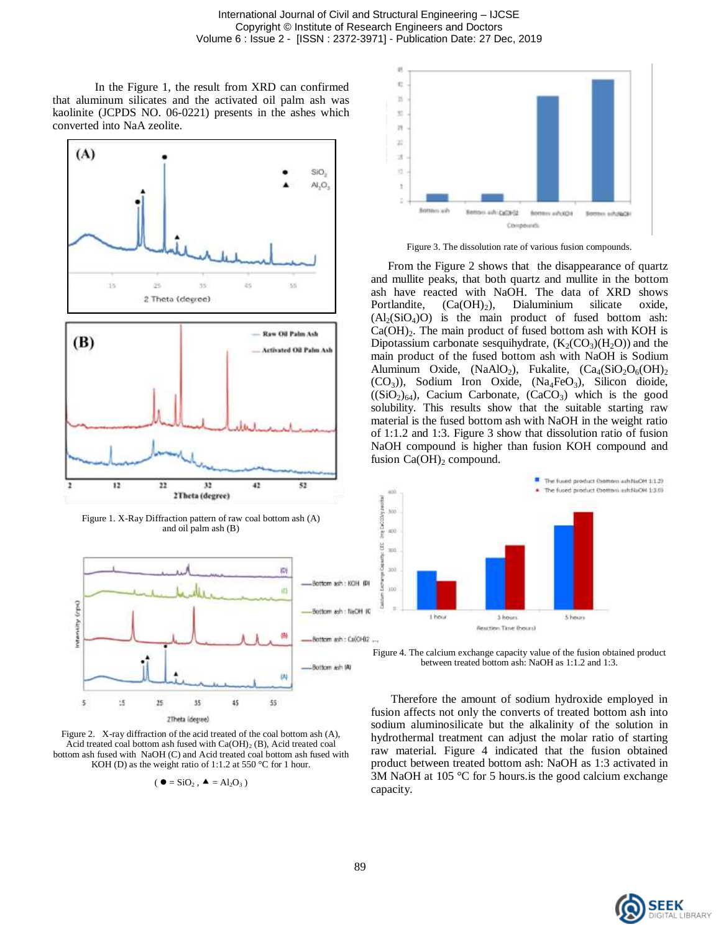In the Figure 1, the result from XRD can confirmed that aluminum silicates and the activated oil palm ash was kaolinite (JCPDS NO. 06-0221) presents in the ashes which converted into NaA zeolite.







Figure 2. X-ray diffraction of the acid treated of the coal bottom ash (A), Acid treated coal bottom ash fused with  $Ca(OH)_2$  (B), Acid treated coal bottom ash fused with NaOH (C) and Acid treated coal bottom ash fused with KOH (D) as the weight ratio of 1:1.2 at 550 °C for 1 hour.

$$
(\bullet = \text{SiO}_2 , \bullet = \text{Al}_2\text{O}_3 )
$$



Figure 3. The dissolution rate of various fusion compounds.

From the Figure 2 shows that the disappearance of quartz and mullite peaks, that both quartz and mullite in the bottom ash have reacted with NaOH. The data of XRD shows Portlandite,  $(Ca(OH)_2)$ , Dialuminium silicate oxide,  $(A_2(SiO_4)O)$  is the main product of fused bottom ash:  $Ca(OH)_2$ . The main product of fused bottom ash with KOH is Dipotassium carbonate sesquihydrate,  $(K_2(CO_3)(H_2O))$  and the main product of the fused bottom ash with NaOH is Sodium Aluminum Oxide,  $(NaAlO<sub>2</sub>)$ , Fukalite,  $(Ca<sub>4</sub>(SiO<sub>2</sub>O<sub>6</sub>(OH)<sub>2</sub>)$  $(CO_3)$ ), Sodium Iron Oxide,  $(Na_4FeO_3)$ , Silicon dioide,  $((SiO<sub>2</sub>)<sub>64</sub>)$ , Cacium Carbonate,  $(CaCO<sub>3</sub>)$  which is the good solubility. This results show that the suitable starting raw material is the fused bottom ash with NaOH in the weight ratio of 1:1.2 and 1:3. Figure 3 show that dissolution ratio of fusion NaOH compound is higher than fusion KOH compound and fusion  $Ca(OH)_2$  compound.



Figure 4. The calcium exchange capacity value of the fusion obtained product between treated bottom ash: NaOH as 1:1.2 and 1:3.

Therefore the amount of sodium hydroxide employed in fusion affects not only the converts of treated bottom ash into sodium aluminosilicate but the alkalinity of the solution in hydrothermal treatment can adjust the molar ratio of starting raw material. Figure 4 indicated that the fusion obtained product between treated bottom ash: NaOH as 1:3 activated in 3M NaOH at 105 °C for 5 hours.is the good calcium exchange capacity.

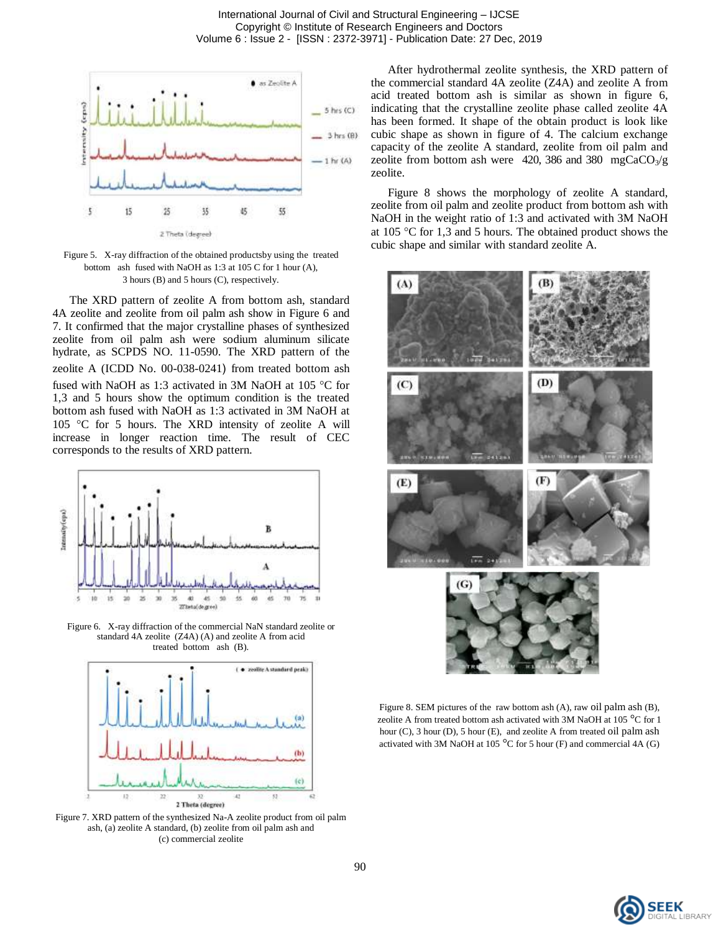

Figure 5. X-ray diffraction of the obtained productsby using the treated bottom ash fused with NaOH as 1:3 at 105 C for 1 hour (A), 3 hours (B) and 5 hours (C), respectively.

The XRD pattern of zeolite A from bottom ash, standard 4A zeolite and zeolite from oil palm ash show in Figure 6 and 7. It confirmed that the major crystalline phases of synthesized zeolite from oil palm ash were sodium aluminum silicate hydrate, as SCPDS NO. 11-0590. The XRD pattern of the zeolite A (ICDD No. 00-038-0241) from treated bottom ash fused with NaOH as 1:3 activated in 3M NaOH at 105  $\degree$ C for 1,3 and 5 hours show the optimum condition is the treated bottom ash fused with NaOH as 1:3 activated in 3M NaOH at 105 °C for 5 hours. The XRD intensity of zeolite A will increase in longer reaction time. The result of CEC corresponds to the results of XRD pattern.



Figure 6. X-ray diffraction of the commercial NaN standard zeolite or standard 4A zeolite (Z4A) (A) and zeolite A from acid treated bottom ash (B).



Figure 7. XRD pattern of the synthesized Na-A zeolite product from oil palm ash, (a) zeolite A standard, (b) zeolite from oil palm ash and (c) commercial zeolite

After hydrothermal zeolite synthesis, the XRD pattern of the commercial standard 4A zeolite (Z4A) and zeolite A from acid treated bottom ash is similar as shown in figure 6, indicating that the crystalline zeolite phase called zeolite 4A has been formed. It shape of the obtain product is look like cubic shape as shown in figure of 4. The calcium exchange capacity of the zeolite A standard, zeolite from oil palm and zeolite from bottom ash were 420, 386 and 380 mgCaCO<sub>3</sub>/g zeolite.

Figure 8 shows the morphology of zeolite A standard, zeolite from oil palm and zeolite product from bottom ash with NaOH in the weight ratio of 1:3 and activated with 3M NaOH at  $105 \text{ °C}$  for 1,3 and 5 hours. The obtained product shows the cubic shape and similar with standard zeolite A.



Figure 8. SEM pictures of the raw bottom ash (A), raw oil palm ash (B), zeolite A from treated bottom ash activated with 3M NaOH at 105 °C for 1 hour (C), 3 hour (D), 5 hour (E), and zeolite A from treated oil palm ash activated with 3M NaOH at 105 °C for 5 hour (F) and commercial 4A (G)